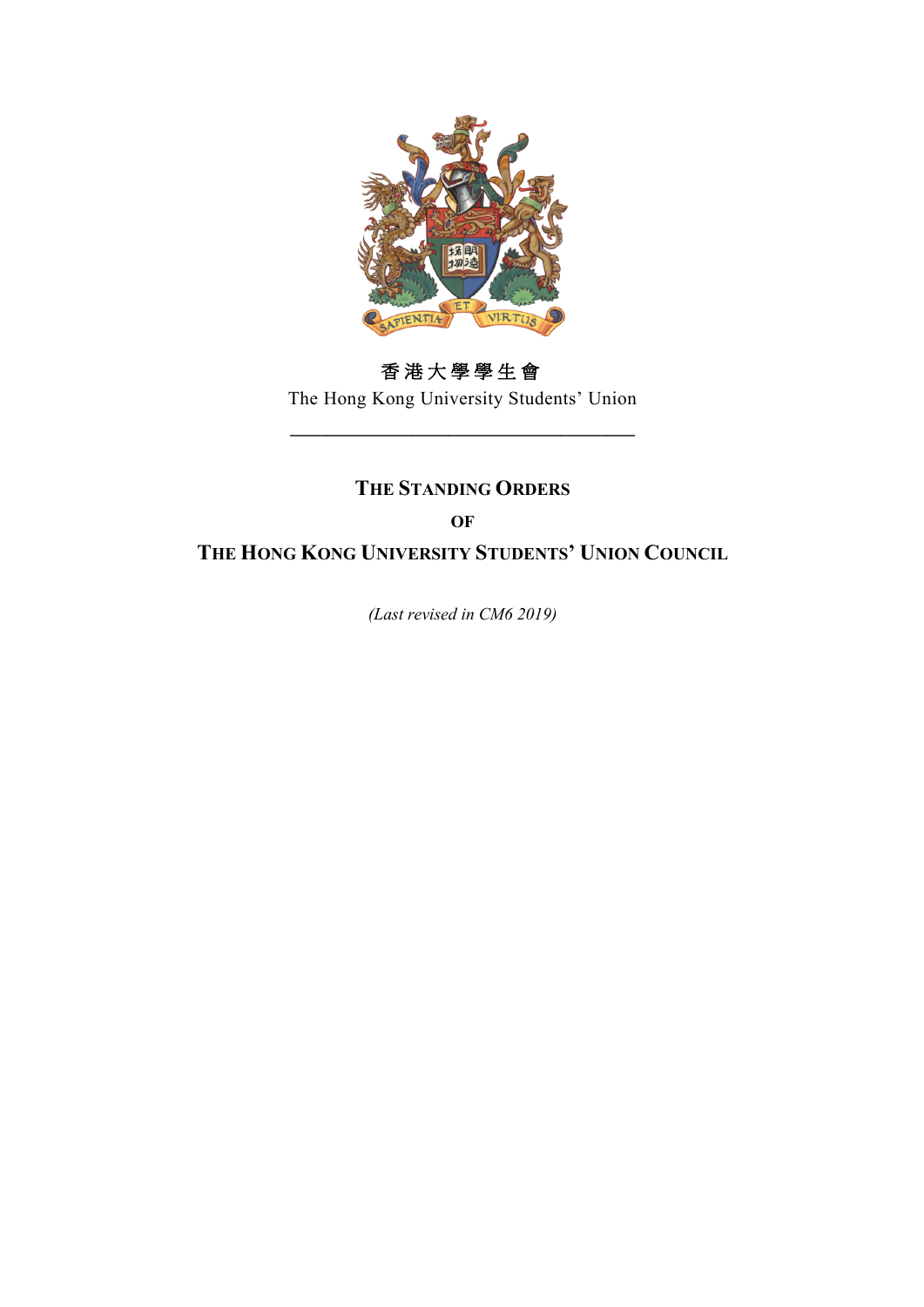

# 香港大學學生會

The Hong Kong University Students' Union **\_\_\_\_\_\_\_\_\_\_\_\_\_\_\_\_\_\_\_\_\_\_\_\_\_\_\_\_\_\_\_\_\_\_\_\_\_**

# **THE STANDING ORDERS**

### **OF**

**THE HONG KONG UNIVERSITY STUDENTS' UNION COUNCIL**

*(Last revised in CM6 2019)*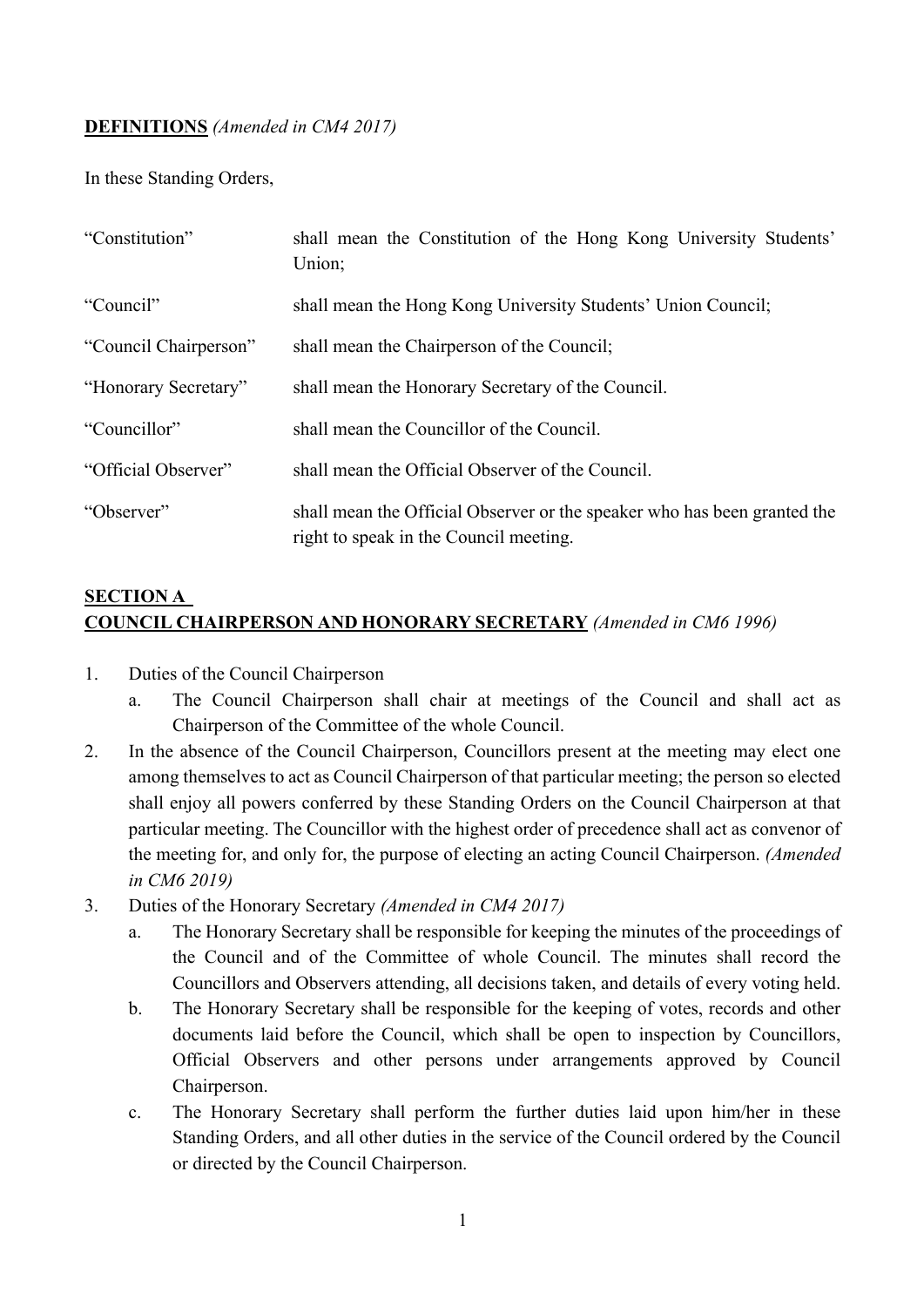#### **DEFINITIONS** *(Amended in CM4 2017)*

In these Standing Orders,

| "Constitution"        | shall mean the Constitution of the Hong Kong University Students'<br>Union;                                        |  |  |  |  |  |
|-----------------------|--------------------------------------------------------------------------------------------------------------------|--|--|--|--|--|
| "Council"             | shall mean the Hong Kong University Students' Union Council;                                                       |  |  |  |  |  |
| "Council Chairperson" | shall mean the Chairperson of the Council;                                                                         |  |  |  |  |  |
| "Honorary Secretary"  | shall mean the Honorary Secretary of the Council.                                                                  |  |  |  |  |  |
| "Councillor"          | shall mean the Councillor of the Council.                                                                          |  |  |  |  |  |
| "Official Observer"   | shall mean the Official Observer of the Council.                                                                   |  |  |  |  |  |
| "Observer"            | shall mean the Official Observer or the speaker who has been granted the<br>right to speak in the Council meeting. |  |  |  |  |  |

### **SECTION A COUNCIL CHAIRPERSON AND HONORARY SECRETARY** *(Amended in CM6 1996)*

- 1. Duties of the Council Chairperson
	- a. The Council Chairperson shall chair at meetings of the Council and shall act as Chairperson of the Committee of the whole Council.
- 2. In the absence of the Council Chairperson, Councillors present at the meeting may elect one among themselves to act as Council Chairperson of that particular meeting; the person so elected shall enjoy all powers conferred by these Standing Orders on the Council Chairperson at that particular meeting. The Councillor with the highest order of precedence shall act as convenor of the meeting for, and only for, the purpose of electing an acting Council Chairperson. *(Amended in CM6 2019)*
- 3. Duties of the Honorary Secretary *(Amended in CM4 2017)*
	- a. The Honorary Secretary shall be responsible for keeping the minutes of the proceedings of the Council and of the Committee of whole Council. The minutes shall record the Councillors and Observers attending, all decisions taken, and details of every voting held.
	- b. The Honorary Secretary shall be responsible for the keeping of votes, records and other documents laid before the Council, which shall be open to inspection by Councillors, Official Observers and other persons under arrangements approved by Council Chairperson.
	- c. The Honorary Secretary shall perform the further duties laid upon him/her in these Standing Orders, and all other duties in the service of the Council ordered by the Council or directed by the Council Chairperson.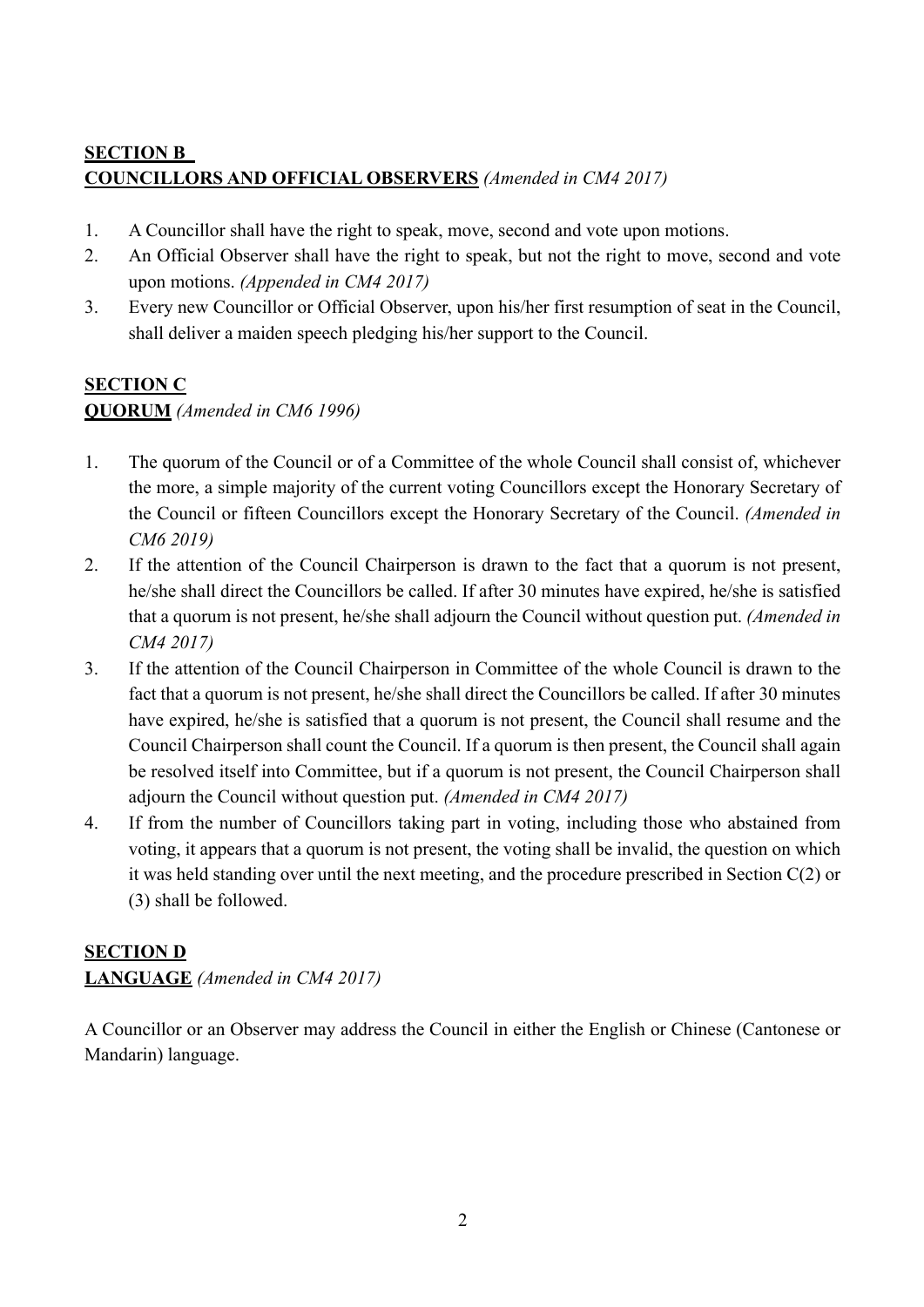### **SECTION B COUNCILLORS AND OFFICIAL OBSERVERS** *(Amended in CM4 2017)*

- 1. A Councillor shall have the right to speak, move, second and vote upon motions.
- 2. An Official Observer shall have the right to speak, but not the right to move, second and vote upon motions. *(Appended in CM4 2017)*
- 3. Every new Councillor or Official Observer, upon his/her first resumption of seat in the Council, shall deliver a maiden speech pledging his/her support to the Council.

# **SECTION C**

#### **QUORUM** *(Amended in CM6 1996)*

- 1. The quorum of the Council or of a Committee of the whole Council shall consist of, whichever the more, a simple majority of the current voting Councillors except the Honorary Secretary of the Council or fifteen Councillors except the Honorary Secretary of the Council. *(Amended in CM6 2019)*
- 2. If the attention of the Council Chairperson is drawn to the fact that a quorum is not present, he/she shall direct the Councillors be called. If after 30 minutes have expired, he/she is satisfied that a quorum is not present, he/she shall adjourn the Council without question put. *(Amended in CM4 2017)*
- 3. If the attention of the Council Chairperson in Committee of the whole Council is drawn to the fact that a quorum is not present, he/she shall direct the Councillors be called. If after 30 minutes have expired, he/she is satisfied that a quorum is not present, the Council shall resume and the Council Chairperson shall count the Council. If a quorum is then present, the Council shall again be resolved itself into Committee, but if a quorum is not present, the Council Chairperson shall adjourn the Council without question put. *(Amended in CM4 2017)*
- 4. If from the number of Councillors taking part in voting, including those who abstained from voting, it appears that a quorum is not present, the voting shall be invalid, the question on which it was held standing over until the next meeting, and the procedure prescribed in Section C(2) or (3) shall be followed.

### **SECTION D**

### **LANGUAGE** *(Amended in CM4 2017)*

A Councillor or an Observer may address the Council in either the English or Chinese (Cantonese or Mandarin) language.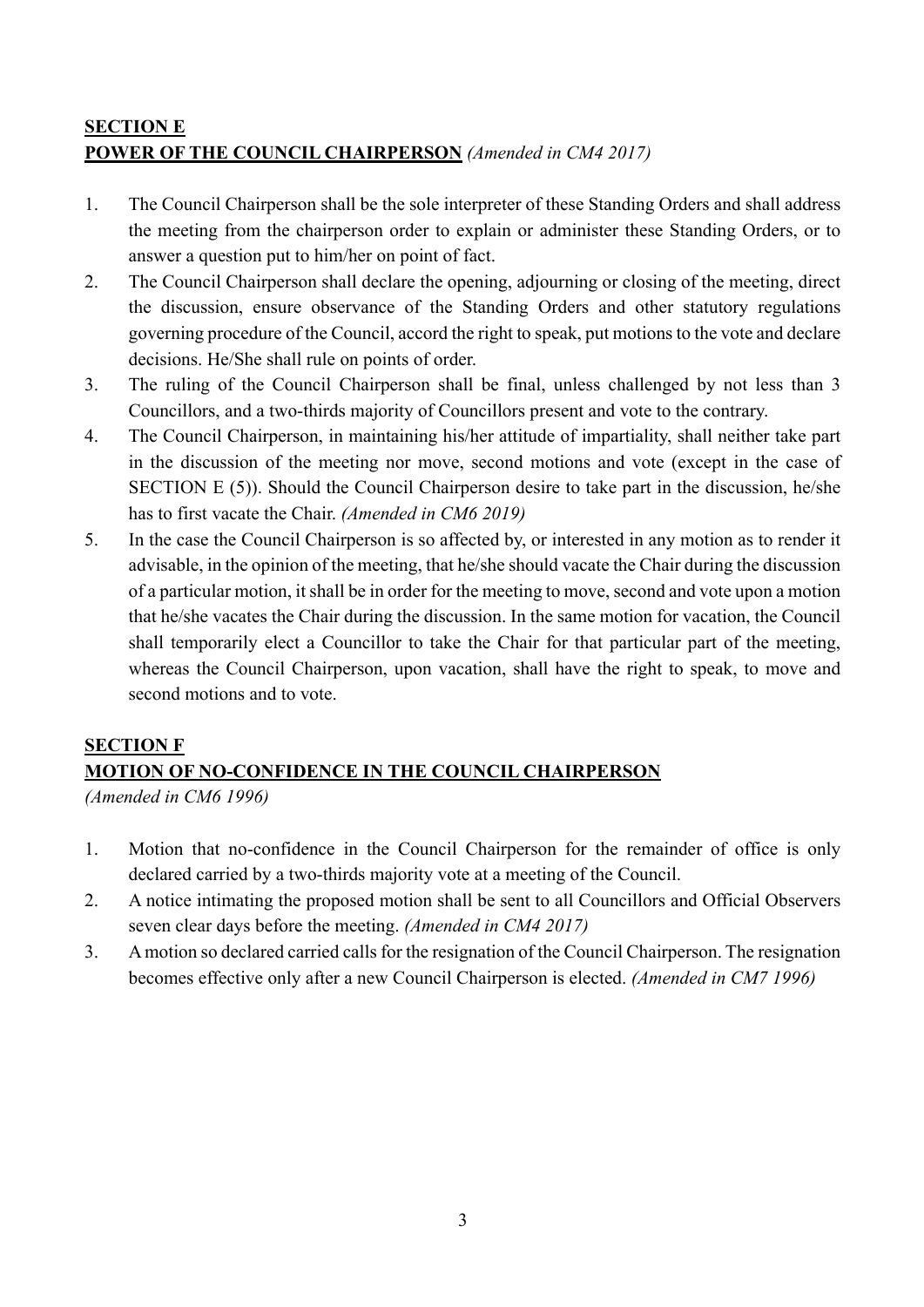# **SECTION E POWER OF THE COUNCIL CHAIRPERSON** *(Amended in CM4 2017)*

- 1. The Council Chairperson shall be the sole interpreter of these Standing Orders and shall address the meeting from the chairperson order to explain or administer these Standing Orders, or to answer a question put to him/her on point of fact.
- 2. The Council Chairperson shall declare the opening, adjourning or closing of the meeting, direct the discussion, ensure observance of the Standing Orders and other statutory regulations governing procedure of the Council, accord the right to speak, put motions to the vote and declare decisions. He/She shall rule on points of order.
- 3. The ruling of the Council Chairperson shall be final, unless challenged by not less than 3 Councillors, and a two-thirds majority of Councillors present and vote to the contrary.
- 4. The Council Chairperson, in maintaining his/her attitude of impartiality, shall neither take part in the discussion of the meeting nor move, second motions and vote (except in the case of SECTION E (5)). Should the Council Chairperson desire to take part in the discussion, he/she has to first vacate the Chair. *(Amended in CM6 2019)*
- 5. In the case the Council Chairperson is so affected by, or interested in any motion as to render it advisable, in the opinion of the meeting, that he/she should vacate the Chair during the discussion of a particular motion, it shall be in order for the meeting to move, second and vote upon a motion that he/she vacates the Chair during the discussion. In the same motion for vacation, the Council shall temporarily elect a Councillor to take the Chair for that particular part of the meeting, whereas the Council Chairperson, upon vacation, shall have the right to speak, to move and second motions and to vote.

### **SECTION F MOTION OF NO-CONFIDENCE IN THE COUNCIL CHAIRPERSON**

*(Amended in CM6 1996)*

- 1. Motion that no-confidence in the Council Chairperson for the remainder of office is only declared carried by a two-thirds majority vote at a meeting of the Council.
- 2. A notice intimating the proposed motion shall be sent to all Councillors and Official Observers seven clear days before the meeting. *(Amended in CM4 2017)*
- 3. A motion so declared carried calls for the resignation of the Council Chairperson. The resignation becomes effective only after a new Council Chairperson is elected. *(Amended in CM7 1996)*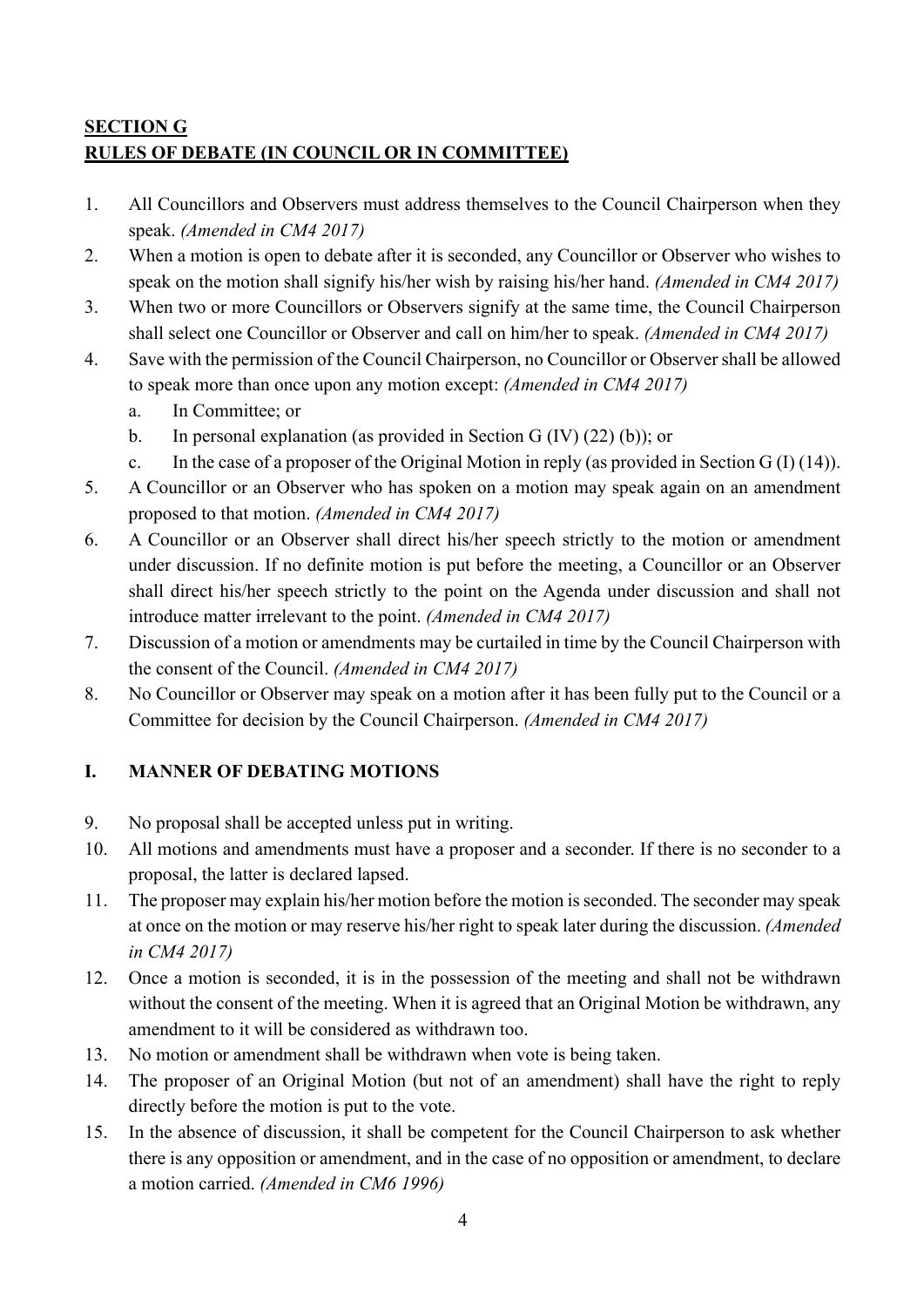# **SECTION G RULES OF DEBATE (IN COUNCIL OR IN COMMITTEE)**

- 1. All Councillors and Observers must address themselves to the Council Chairperson when they speak. *(Amended in CM4 2017)*
- 2. When a motion is open to debate after it is seconded, any Councillor or Observer who wishes to speak on the motion shall signify his/her wish by raising his/her hand. *(Amended in CM4 2017)*
- 3. When two or more Councillors or Observers signify at the same time, the Council Chairperson shall select one Councillor or Observer and call on him/her to speak. *(Amended in CM4 2017)*
- 4. Save with the permission of the Council Chairperson, no Councillor or Observer shall be allowed to speak more than once upon any motion except: *(Amended in CM4 2017)*
	- a. In Committee; or
	- b. In personal explanation (as provided in Section G (IV) (22) (b)); or
	- c. In the case of a proposer of the Original Motion in reply (as provided in Section G (I) (14)).
- 5. A Councillor or an Observer who has spoken on a motion may speak again on an amendment proposed to that motion. *(Amended in CM4 2017)*
- 6. A Councillor or an Observer shall direct his/her speech strictly to the motion or amendment under discussion. If no definite motion is put before the meeting, a Councillor or an Observer shall direct his/her speech strictly to the point on the Agenda under discussion and shall not introduce matter irrelevant to the point. *(Amended in CM4 2017)*
- 7. Discussion of a motion or amendments may be curtailed in time by the Council Chairperson with the consent of the Council. *(Amended in CM4 2017)*
- 8. No Councillor or Observer may speak on a motion after it has been fully put to the Council or a Committee for decision by the Council Chairperson. *(Amended in CM4 2017)*

### **I. MANNER OF DEBATING MOTIONS**

- 9. No proposal shall be accepted unless put in writing.
- 10. All motions and amendments must have a proposer and a seconder. If there is no seconder to a proposal, the latter is declared lapsed.
- 11. The proposer may explain his/her motion before the motion is seconded. The seconder may speak at once on the motion or may reserve his/her right to speak later during the discussion. *(Amended in CM4 2017)*
- 12. Once a motion is seconded, it is in the possession of the meeting and shall not be withdrawn without the consent of the meeting. When it is agreed that an Original Motion be withdrawn, any amendment to it will be considered as withdrawn too.
- 13. No motion or amendment shall be withdrawn when vote is being taken.
- 14. The proposer of an Original Motion (but not of an amendment) shall have the right to reply directly before the motion is put to the vote.
- 15. In the absence of discussion, it shall be competent for the Council Chairperson to ask whether there is any opposition or amendment, and in the case of no opposition or amendment, to declare a motion carried. *(Amended in CM6 1996)*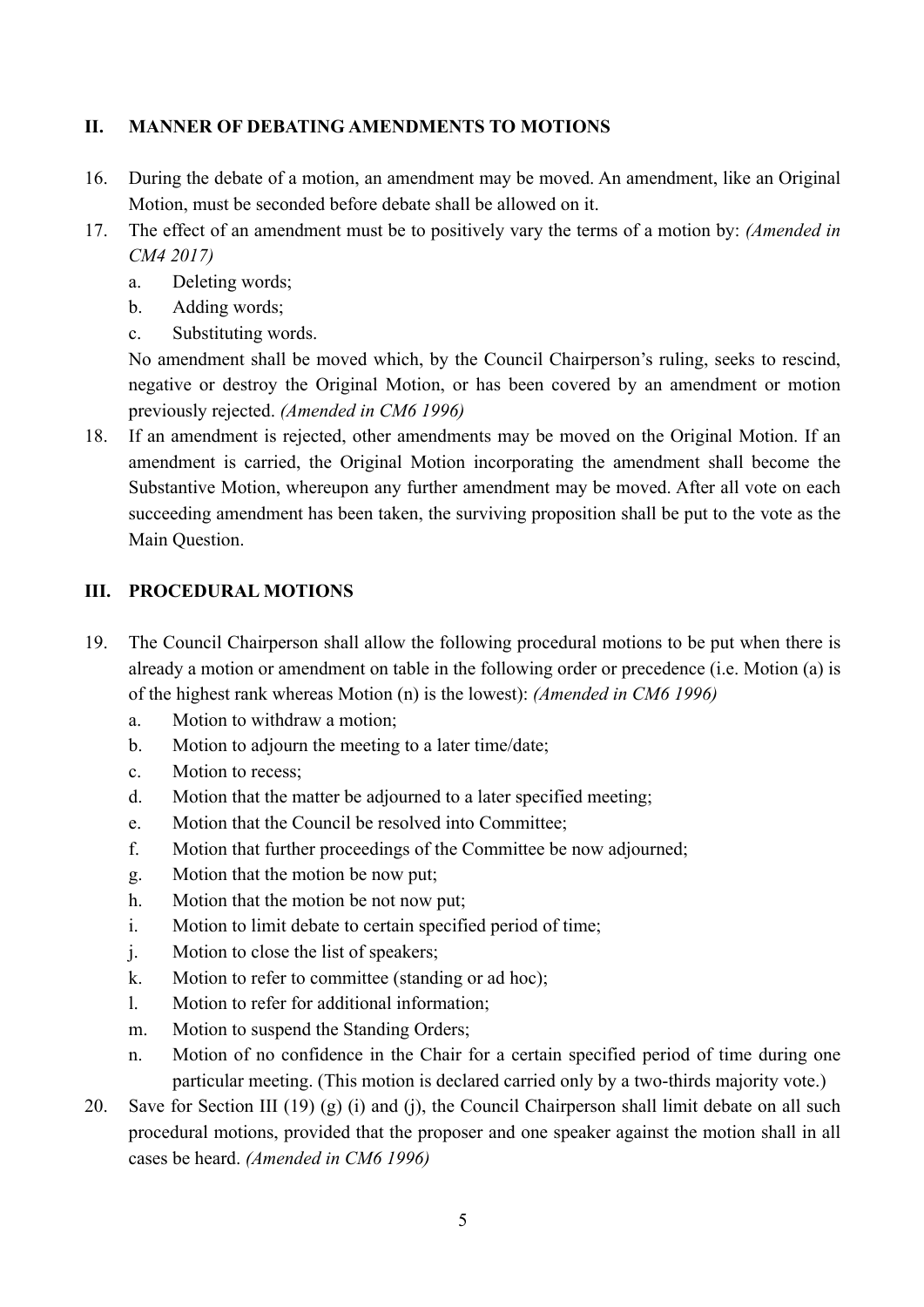#### **II. MANNER OF DEBATING AMENDMENTS TO MOTIONS**

- 16. During the debate of a motion, an amendment may be moved. An amendment, like an Original Motion, must be seconded before debate shall be allowed on it.
- 17. The effect of an amendment must be to positively vary the terms of a motion by: *(Amended in CM4 2017)*
	- a. Deleting words;
	- b. Adding words;
	- c. Substituting words.

No amendment shall be moved which, by the Council Chairperson's ruling, seeks to rescind, negative or destroy the Original Motion, or has been covered by an amendment or motion previously rejected. *(Amended in CM6 1996)*

18. If an amendment is rejected, other amendments may be moved on the Original Motion. If an amendment is carried, the Original Motion incorporating the amendment shall become the Substantive Motion, whereupon any further amendment may be moved. After all vote on each succeeding amendment has been taken, the surviving proposition shall be put to the vote as the Main Question.

#### **III. PROCEDURAL MOTIONS**

- 19. The Council Chairperson shall allow the following procedural motions to be put when there is already a motion or amendment on table in the following order or precedence (i.e. Motion (a) is of the highest rank whereas Motion (n) is the lowest): *(Amended in CM6 1996)*
	- a. Motion to withdraw a motion;
	- b. Motion to adjourn the meeting to a later time/date;
	- c. Motion to recess;
	- d. Motion that the matter be adjourned to a later specified meeting;
	- e. Motion that the Council be resolved into Committee;
	- f. Motion that further proceedings of the Committee be now adjourned;
	- g. Motion that the motion be now put;
	- h. Motion that the motion be not now put;
	- i. Motion to limit debate to certain specified period of time;
	- j. Motion to close the list of speakers;
	- k. Motion to refer to committee (standing or ad hoc);
	- l. Motion to refer for additional information;
	- m. Motion to suspend the Standing Orders;
	- n. Motion of no confidence in the Chair for a certain specified period of time during one particular meeting. (This motion is declared carried only by a two-thirds majority vote.)
- 20. Save for Section III (19) (g) (i) and (j), the Council Chairperson shall limit debate on all such procedural motions, provided that the proposer and one speaker against the motion shall in all cases be heard. *(Amended in CM6 1996)*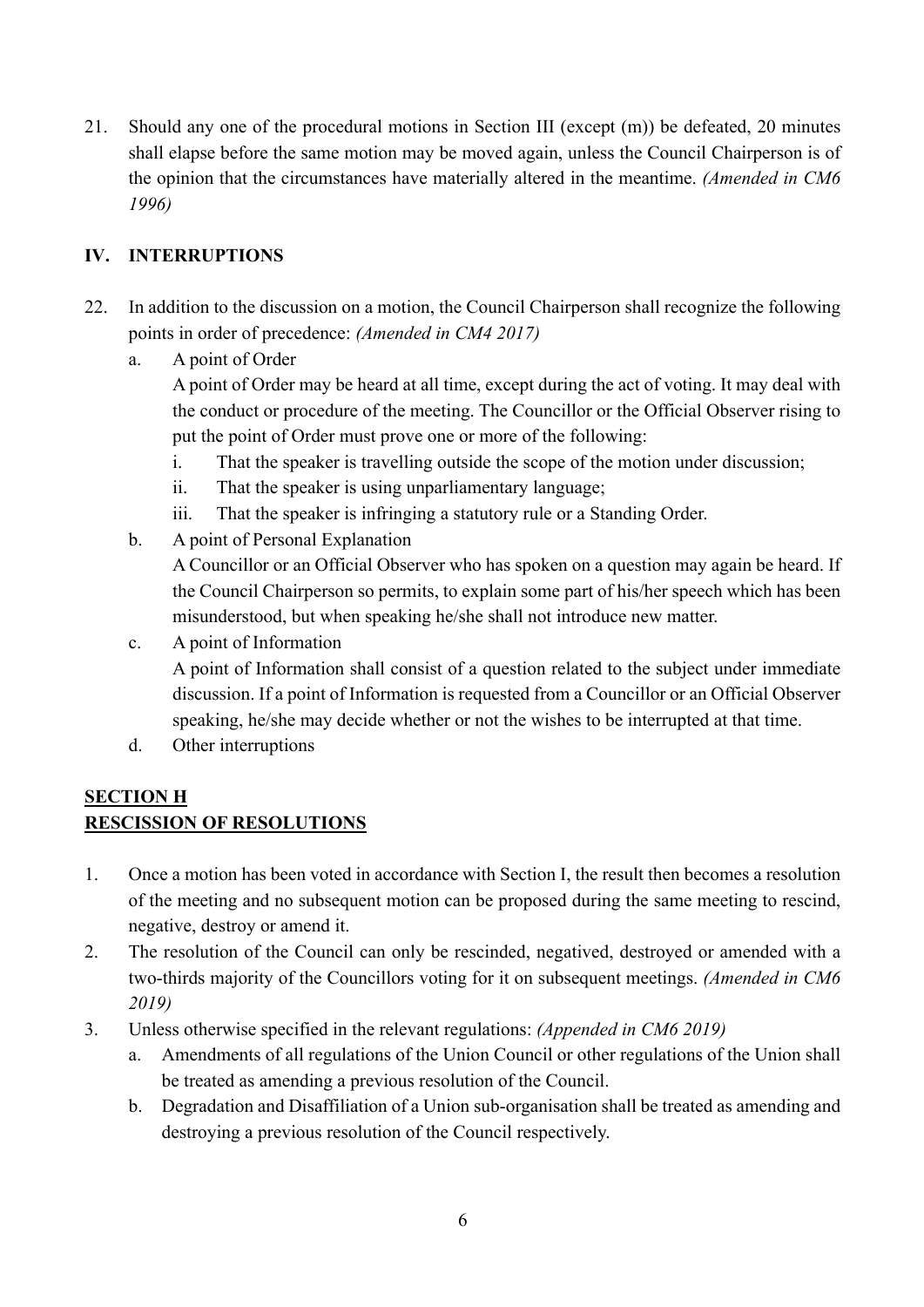21. Should any one of the procedural motions in Section III (except (m)) be defeated, 20 minutes shall elapse before the same motion may be moved again, unless the Council Chairperson is of the opinion that the circumstances have materially altered in the meantime. *(Amended in CM6 1996)*

### **IV. INTERRUPTIONS**

- 22. In addition to the discussion on a motion, the Council Chairperson shall recognize the following points in order of precedence: *(Amended in CM4 2017)*
	- a. A point of Order

A point of Order may be heard at all time, except during the act of voting. It may deal with the conduct or procedure of the meeting. The Councillor or the Official Observer rising to put the point of Order must prove one or more of the following:

- i. That the speaker is travelling outside the scope of the motion under discussion;
- ii. That the speaker is using unparliamentary language;
- iii. That the speaker is infringing a statutory rule or a Standing Order.
- b. A point of Personal Explanation

A Councillor or an Official Observer who has spoken on a question may again be heard. If the Council Chairperson so permits, to explain some part of his/her speech which has been misunderstood, but when speaking he/she shall not introduce new matter.

c. A point of Information

A point of Information shall consist of a question related to the subject under immediate discussion. If a point of Information is requested from a Councillor or an Official Observer speaking, he/she may decide whether or not the wishes to be interrupted at that time.

d. Other interruptions

#### **SECTION H RESCISSION OF RESOLUTIONS**

- 1. Once a motion has been voted in accordance with Section I, the result then becomes a resolution of the meeting and no subsequent motion can be proposed during the same meeting to rescind, negative, destroy or amend it.
- 2. The resolution of the Council can only be rescinded, negatived, destroyed or amended with a two-thirds majority of the Councillors voting for it on subsequent meetings. *(Amended in CM6 2019)*
- 3. Unless otherwise specified in the relevant regulations: *(Appended in CM6 2019)*
	- a. Amendments of all regulations of the Union Council or other regulations of the Union shall be treated as amending a previous resolution of the Council.
	- b. Degradation and Disaffiliation of a Union sub-organisation shall be treated as amending and destroying a previous resolution of the Council respectively.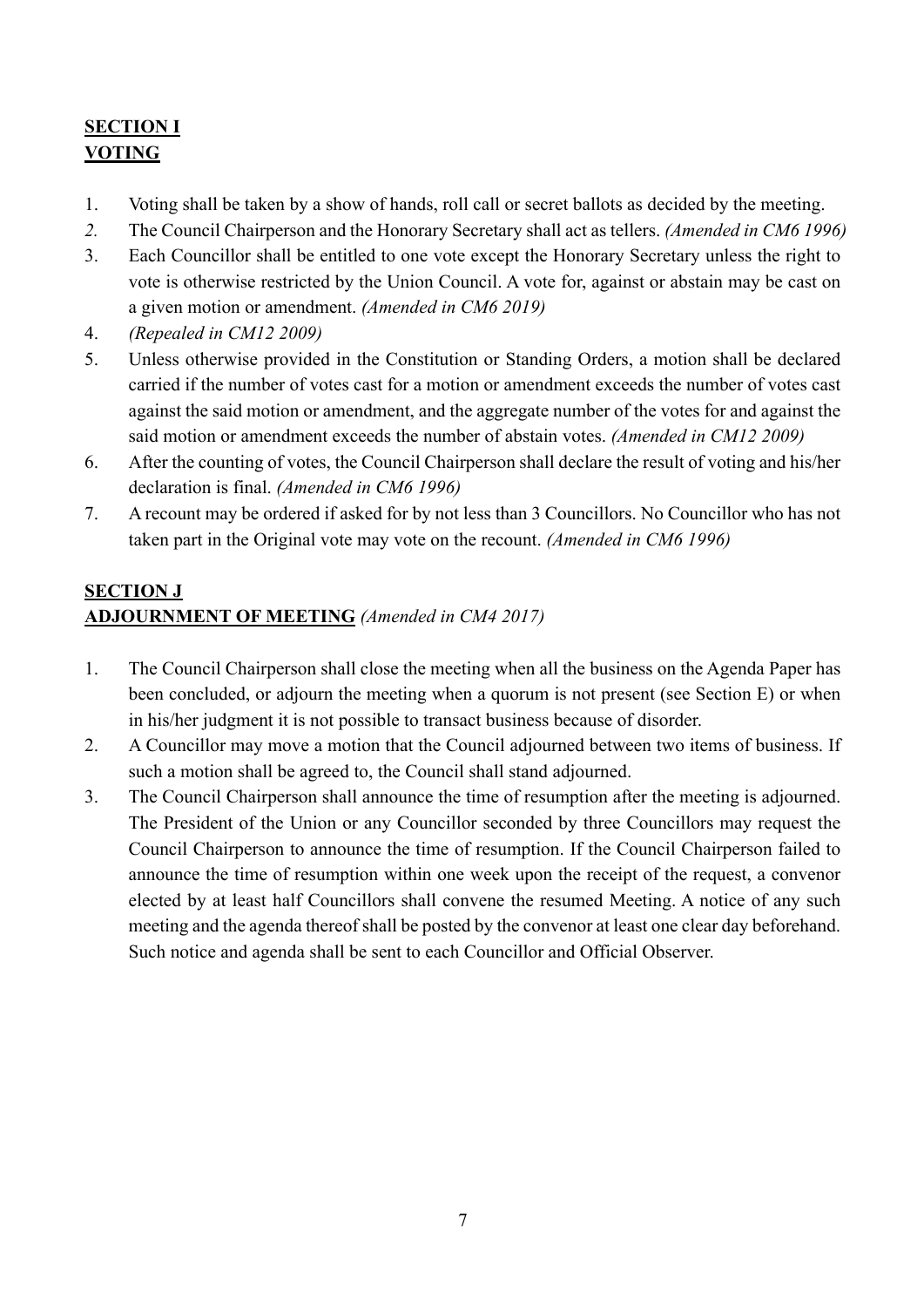# **SECTION I VOTING**

- 1. Voting shall be taken by a show of hands, roll call or secret ballots as decided by the meeting.
- *2.* The Council Chairperson and the Honorary Secretary shall act as tellers. *(Amended in CM6 1996)*
- 3. Each Councillor shall be entitled to one vote except the Honorary Secretary unless the right to vote is otherwise restricted by the Union Council. A vote for, against or abstain may be cast on a given motion or amendment. *(Amended in CM6 2019)*
- 4. *(Repealed in CM12 2009)*
- 5. Unless otherwise provided in the Constitution or Standing Orders, a motion shall be declared carried if the number of votes cast for a motion or amendment exceeds the number of votes cast against the said motion or amendment, and the aggregate number of the votes for and against the said motion or amendment exceeds the number of abstain votes. *(Amended in CM12 2009)*
- 6. After the counting of votes, the Council Chairperson shall declare the result of voting and his/her declaration is final. *(Amended in CM6 1996)*
- 7. A recount may be ordered if asked for by not less than 3 Councillors. No Councillor who has not taken part in the Original vote may vote on the recount. *(Amended in CM6 1996)*

### **SECTION J ADJOURNMENT OF MEETING** *(Amended in CM4 2017)*

- 1. The Council Chairperson shall close the meeting when all the business on the Agenda Paper has been concluded, or adjourn the meeting when a quorum is not present (see Section E) or when in his/her judgment it is not possible to transact business because of disorder.
- 2. A Councillor may move a motion that the Council adjourned between two items of business. If such a motion shall be agreed to, the Council shall stand adjourned.
- 3. The Council Chairperson shall announce the time of resumption after the meeting is adjourned. The President of the Union or any Councillor seconded by three Councillors may request the Council Chairperson to announce the time of resumption. If the Council Chairperson failed to announce the time of resumption within one week upon the receipt of the request, a convenor elected by at least half Councillors shall convene the resumed Meeting. A notice of any such meeting and the agenda thereof shall be posted by the convenor at least one clear day beforehand. Such notice and agenda shall be sent to each Councillor and Official Observer.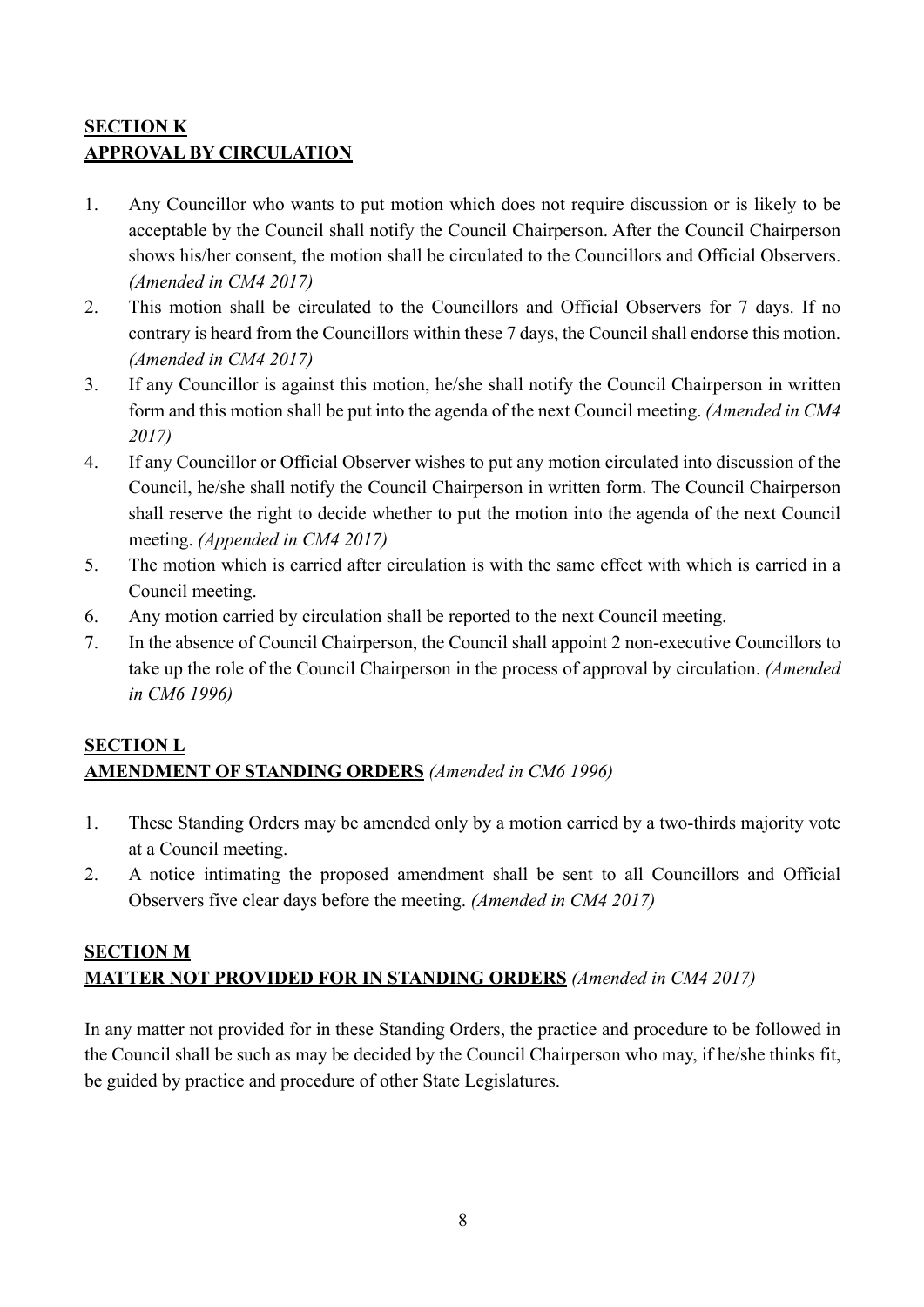## **SECTION K APPROVAL BY CIRCULATION**

- 1. Any Councillor who wants to put motion which does not require discussion or is likely to be acceptable by the Council shall notify the Council Chairperson. After the Council Chairperson shows his/her consent, the motion shall be circulated to the Councillors and Official Observers. *(Amended in CM4 2017)*
- 2. This motion shall be circulated to the Councillors and Official Observers for 7 days. If no contrary is heard from the Councillors within these 7 days, the Council shall endorse this motion. *(Amended in CM4 2017)*
- 3. If any Councillor is against this motion, he/she shall notify the Council Chairperson in written form and this motion shall be put into the agenda of the next Council meeting. *(Amended in CM4 2017)*
- 4. If any Councillor or Official Observer wishes to put any motion circulated into discussion of the Council, he/she shall notify the Council Chairperson in written form. The Council Chairperson shall reserve the right to decide whether to put the motion into the agenda of the next Council meeting. *(Appended in CM4 2017)*
- 5. The motion which is carried after circulation is with the same effect with which is carried in a Council meeting.
- 6. Any motion carried by circulation shall be reported to the next Council meeting.
- 7. In the absence of Council Chairperson, the Council shall appoint 2 non-executive Councillors to take up the role of the Council Chairperson in the process of approval by circulation. *(Amended in CM6 1996)*

#### **SECTION L AMENDMENT OF STANDING ORDERS** *(Amended in CM6 1996)*

- 1. These Standing Orders may be amended only by a motion carried by a two-thirds majority vote at a Council meeting.
- 2. A notice intimating the proposed amendment shall be sent to all Councillors and Official Observers five clear days before the meeting. *(Amended in CM4 2017)*

### **SECTION M MATTER NOT PROVIDED FOR IN STANDING ORDERS** *(Amended in CM4 2017)*

In any matter not provided for in these Standing Orders, the practice and procedure to be followed in the Council shall be such as may be decided by the Council Chairperson who may, if he/she thinks fit, be guided by practice and procedure of other State Legislatures.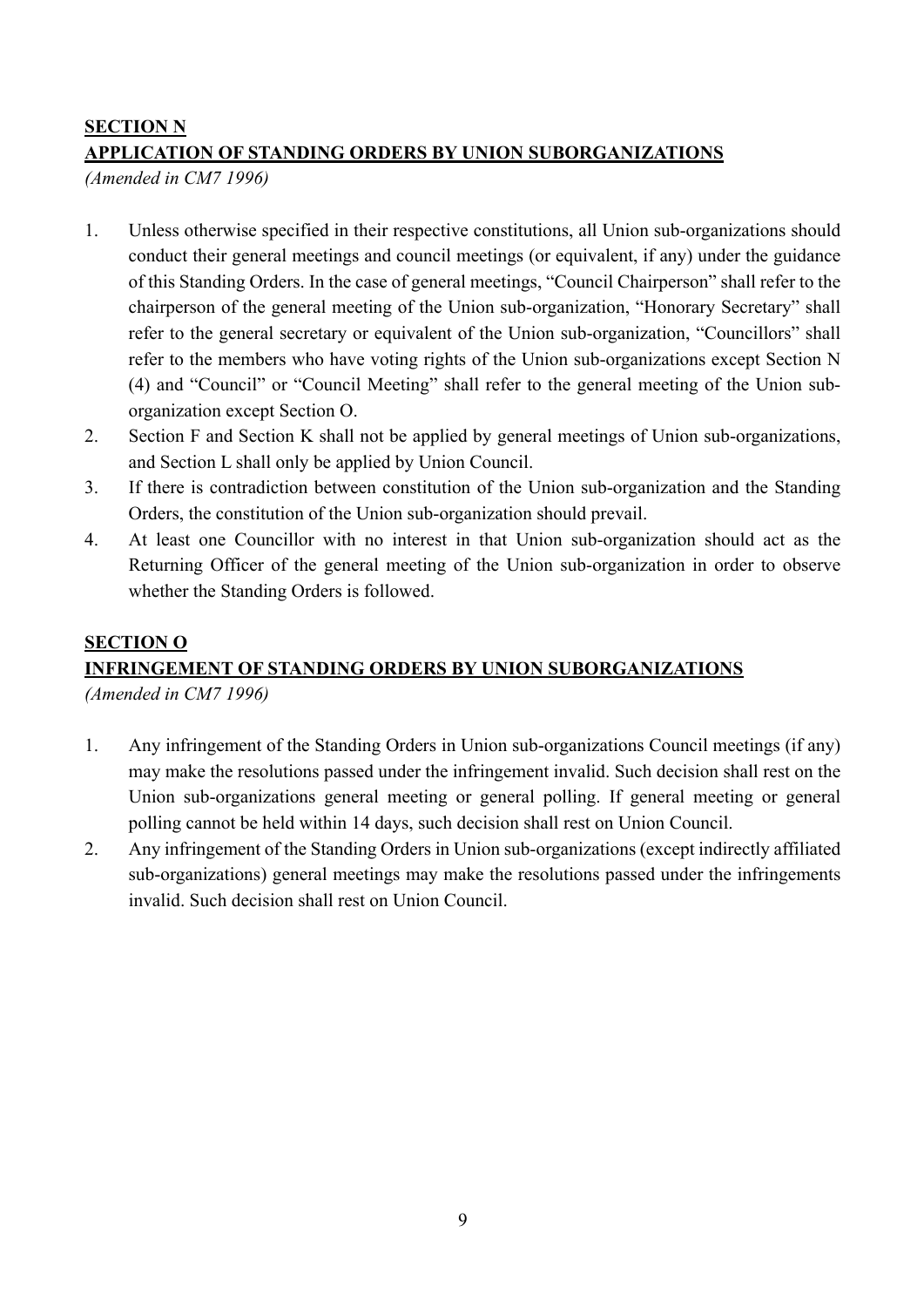#### **SECTION N**

#### **APPLICATION OF STANDING ORDERS BY UNION SUBORGANIZATIONS**

*(Amended in CM7 1996)*

- 1. Unless otherwise specified in their respective constitutions, all Union sub-organizations should conduct their general meetings and council meetings (or equivalent, if any) under the guidance of this Standing Orders. In the case of general meetings, "Council Chairperson" shall refer to the chairperson of the general meeting of the Union sub-organization, "Honorary Secretary" shall refer to the general secretary or equivalent of the Union sub-organization, "Councillors" shall refer to the members who have voting rights of the Union sub-organizations except Section N (4) and "Council" or "Council Meeting" shall refer to the general meeting of the Union suborganization except Section O.
- 2. Section F and Section K shall not be applied by general meetings of Union sub-organizations, and Section L shall only be applied by Union Council.
- 3. If there is contradiction between constitution of the Union sub-organization and the Standing Orders, the constitution of the Union sub-organization should prevail.
- 4. At least one Councillor with no interest in that Union sub-organization should act as the Returning Officer of the general meeting of the Union sub-organization in order to observe whether the Standing Orders is followed.

# **SECTION O INFRINGEMENT OF STANDING ORDERS BY UNION SUBORGANIZATIONS**

*(Amended in CM7 1996)*

- 1. Any infringement of the Standing Orders in Union sub-organizations Council meetings (if any) may make the resolutions passed under the infringement invalid. Such decision shall rest on the Union sub-organizations general meeting or general polling. If general meeting or general polling cannot be held within 14 days, such decision shall rest on Union Council.
- 2. Any infringement of the Standing Orders in Union sub-organizations (except indirectly affiliated sub-organizations) general meetings may make the resolutions passed under the infringements invalid. Such decision shall rest on Union Council.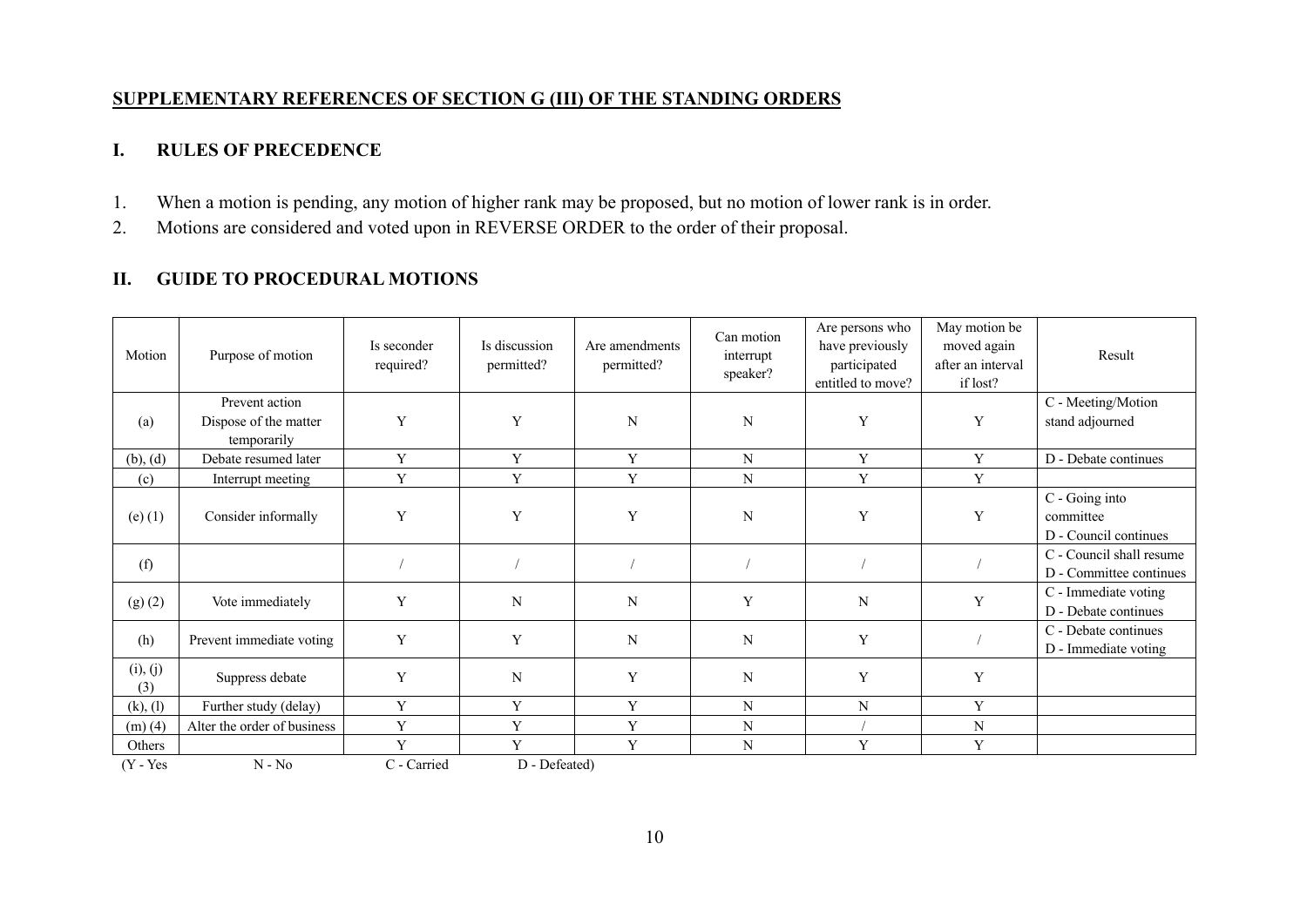#### **SUPPLEMENTARY REFERENCES OF SECTION G (III) OF THE STANDING ORDERS**

#### **I. RULES OF PRECEDENCE**

- 1. When a motion is pending, any motion of higher rank may be proposed, but no motion of lower rank is in order.
- 2. Motions are considered and voted upon in REVERSE ORDER to the order of their proposal.

#### **II. GUIDE TO PROCEDURAL MOTIONS**

| Motion          | Purpose of motion                                      | Is seconder<br>required? | Is discussion<br>permitted? | Are amendments<br>permitted? | Can motion<br>interrupt<br>speaker? | Are persons who<br>have previously<br>participated<br>entitled to move? | May motion be<br>moved again<br>after an interval<br>if lost? | Result                                               |
|-----------------|--------------------------------------------------------|--------------------------|-----------------------------|------------------------------|-------------------------------------|-------------------------------------------------------------------------|---------------------------------------------------------------|------------------------------------------------------|
| (a)             | Prevent action<br>Dispose of the matter<br>temporarily | Y                        | Y                           | N                            | N                                   | Y                                                                       | Y                                                             | C - Meeting/Motion<br>stand adjourned                |
| (b), (d)        | Debate resumed later                                   | Y                        | Y                           | Y                            | N                                   | Y                                                                       | Y                                                             | D - Debate continues                                 |
| (c)             | Interrupt meeting                                      | Y                        | Y                           | Y                            | N                                   | Y                                                                       | Y                                                             |                                                      |
| $(e)$ (1)       | Consider informally                                    | Y                        | Y                           | Y                            | N                                   | Y                                                                       | Y                                                             | C - Going into<br>committee<br>D - Council continues |
| (f)             |                                                        |                          |                             |                              |                                     |                                                                         |                                                               | C - Council shall resume<br>D - Committee continues  |
| (g)(2)          | Vote immediately                                       | Y                        | N                           | N                            | Y                                   | N                                                                       | Y                                                             | C - Immediate voting<br>D - Debate continues         |
| (h)             | Prevent immediate voting                               | Y                        | Y                           | $\mathbf N$                  | N                                   | Y                                                                       |                                                               | C - Debate continues<br>D - Immediate voting         |
| (i), (j)<br>(3) | Suppress debate                                        | Y                        | N                           | Y                            | N                                   | Y                                                                       | Y                                                             |                                                      |
| (k), (l)        | Further study (delay)                                  | Y                        | Y                           | Y                            | N                                   | N                                                                       | Y                                                             |                                                      |
| (m)(4)          | Alter the order of business                            | Y                        | Y                           | Y                            | N                                   |                                                                         | N                                                             |                                                      |
| Others          |                                                        | Y                        | Y                           | Y                            | N                                   | Y                                                                       | Y                                                             |                                                      |
| $(Y - Yes)$     | $N - No$                                               | C - Carried              | D - Defeated)               |                              |                                     |                                                                         |                                                               |                                                      |